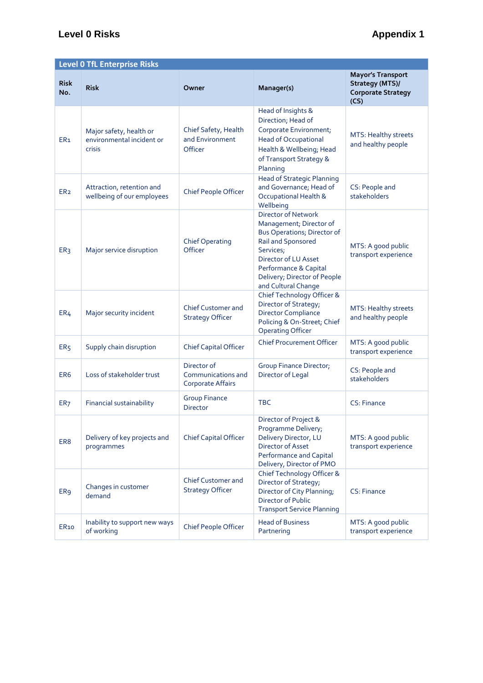## **Level 0 Risks Appendix 1**

| <b>Level 0 TfL Enterprise Risks</b> |                                                                |                                                               |                                                                                                                                                                                                                                        |                                                                                  |  |  |  |
|-------------------------------------|----------------------------------------------------------------|---------------------------------------------------------------|----------------------------------------------------------------------------------------------------------------------------------------------------------------------------------------------------------------------------------------|----------------------------------------------------------------------------------|--|--|--|
| <b>Risk</b><br>No.                  | <b>Risk</b>                                                    | Owner                                                         | Manager(s)                                                                                                                                                                                                                             | <b>Mayor's Transport</b><br>Strategy (MTS)/<br><b>Corporate Strategy</b><br>(CS) |  |  |  |
| ER <sub>1</sub>                     | Major safety, health or<br>environmental incident or<br>crisis | Chief Safety, Health<br>and Environment<br>Officer            | Head of Insights &<br>Direction; Head of<br>Corporate Environment;<br><b>Head of Occupational</b><br>Health & Wellbeing; Head<br>of Transport Strategy &<br>Planning                                                                   | MTS: Healthy streets<br>and healthy people                                       |  |  |  |
| ER <sub>2</sub>                     | Attraction, retention and<br>wellbeing of our employees        | Chief People Officer                                          | <b>Head of Strategic Planning</b><br>and Governance; Head of<br>Occupational Health &<br>Wellbeing                                                                                                                                     | CS: People and<br>stakeholders                                                   |  |  |  |
| ER <sub>3</sub>                     | Major service disruption                                       | <b>Chief Operating</b><br>Officer                             | <b>Director of Network</b><br>Management; Director of<br><b>Bus Operations; Director of</b><br>Rail and Sponsored<br>Services;<br>Director of LU Asset<br>Performance & Capital<br>Delivery; Director of People<br>and Cultural Change | MTS: A good public<br>transport experience                                       |  |  |  |
| ER <sub>4</sub>                     | Major security incident                                        | <b>Chief Customer and</b><br><b>Strategy Officer</b>          | Chief Technology Officer &<br>Director of Strategy;<br><b>Director Compliance</b><br>Policing & On-Street; Chief<br><b>Operating Officer</b>                                                                                           | MTS: Healthy streets<br>and healthy people                                       |  |  |  |
| ER <sub>5</sub>                     | Supply chain disruption                                        | <b>Chief Capital Officer</b>                                  | <b>Chief Procurement Officer</b>                                                                                                                                                                                                       | MTS: A good public<br>transport experience                                       |  |  |  |
| ER <sub>6</sub>                     | Loss of stakeholder trust                                      | Director of<br>Communications and<br><b>Corporate Affairs</b> | <b>Group Finance Director;</b><br>Director of Legal                                                                                                                                                                                    | CS: People and<br>stakeholders                                                   |  |  |  |
| ER <sub>7</sub>                     | Financial sustainability                                       | <b>Group Finance</b><br><b>Director</b>                       | <b>TBC</b>                                                                                                                                                                                                                             | CS: Finance                                                                      |  |  |  |
| ER <sub>8</sub>                     | Delivery of key projects and<br>programmes                     | <b>Chief Capital Officer</b>                                  | Director of Project &<br>Programme Delivery;<br>Delivery Director, LU<br>Director of Asset<br>Performance and Capital<br>Delivery, Director of PMO                                                                                     | MTS: A good public<br>transport experience                                       |  |  |  |
| ER <sub>9</sub>                     | Changes in customer<br>demand                                  | <b>Chief Customer and</b><br><b>Strategy Officer</b>          | Chief Technology Officer &<br>Director of Strategy;<br>Director of City Planning;<br><b>Director of Public</b><br><b>Transport Service Planning</b>                                                                                    | CS: Finance                                                                      |  |  |  |
| ER <sub>10</sub>                    | Inability to support new ways<br>of working                    | Chief People Officer                                          | <b>Head of Business</b><br>Partnering                                                                                                                                                                                                  | MTS: A good public<br>transport experience                                       |  |  |  |